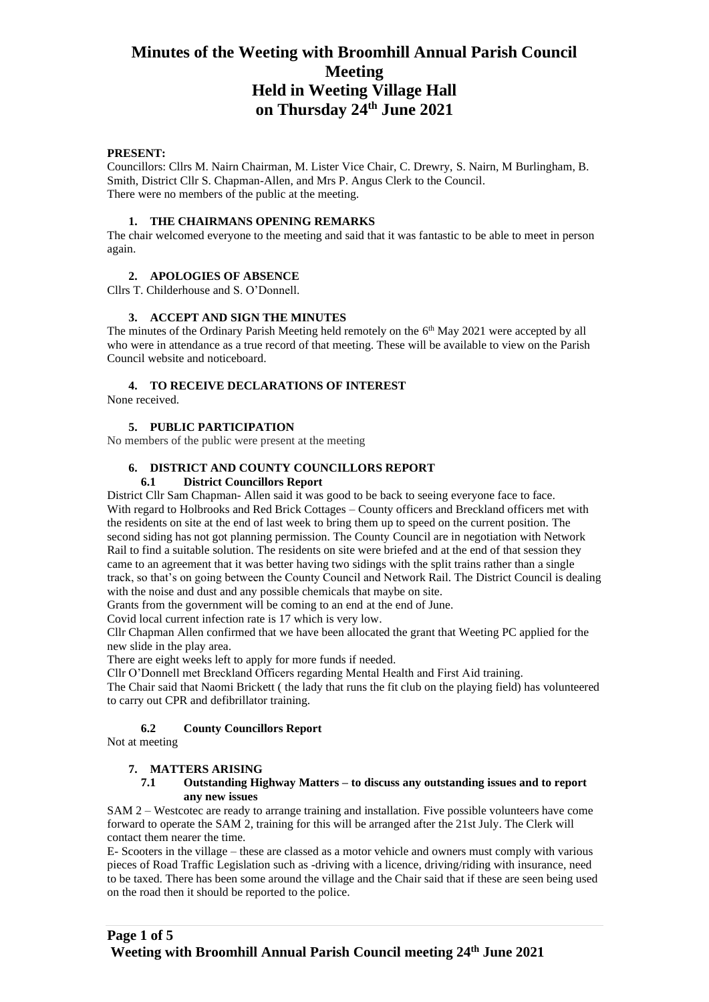## **PRESENT:**

Councillors: Cllrs M. Nairn Chairman, M. Lister Vice Chair, C. Drewry, S. Nairn, M Burlingham, B. Smith, District Cllr S. Chapman-Allen, and Mrs P. Angus Clerk to the Council. There were no members of the public at the meeting.

#### **1. THE CHAIRMANS OPENING REMARKS**

The chair welcomed everyone to the meeting and said that it was fantastic to be able to meet in person again.

## **2. APOLOGIES OF ABSENCE**

Cllrs T. Childerhouse and S. O'Donnell.

#### **3. ACCEPT AND SIGN THE MINUTES**

The minutes of the Ordinary Parish Meeting held remotely on the  $6<sup>th</sup>$  May 2021 were accepted by all who were in attendance as a true record of that meeting. These will be available to view on the Parish Council website and noticeboard.

## **4. TO RECEIVE DECLARATIONS OF INTEREST**

None received.

#### **5. PUBLIC PARTICIPATION**

No members of the public were present at the meeting

# **6. DISTRICT AND COUNTY COUNCILLORS REPORT**

## **6.1 District Councillors Report**

District Cllr Sam Chapman- Allen said it was good to be back to seeing everyone face to face. With regard to Holbrooks and Red Brick Cottages – County officers and Breckland officers met with the residents on site at the end of last week to bring them up to speed on the current position. The second siding has not got planning permission. The County Council are in negotiation with Network Rail to find a suitable solution. The residents on site were briefed and at the end of that session they came to an agreement that it was better having two sidings with the split trains rather than a single track, so that's on going between the County Council and Network Rail. The District Council is dealing with the noise and dust and any possible chemicals that maybe on site.

Grants from the government will be coming to an end at the end of June.

Covid local current infection rate is 17 which is very low.

Cllr Chapman Allen confirmed that we have been allocated the grant that Weeting PC applied for the new slide in the play area.

There are eight weeks left to apply for more funds if needed.

Cllr O'Donnell met Breckland Officers regarding Mental Health and First Aid training.

The Chair said that Naomi Brickett ( the lady that runs the fit club on the playing field) has volunteered to carry out CPR and defibrillator training.

# **6.2 County Councillors Report**

Not at meeting

## **7. MATTERS ARISING**

#### **7.1 Outstanding Highway Matters – to discuss any outstanding issues and to report any new issues**

SAM 2 – Westcotec are ready to arrange training and installation. Five possible volunteers have come forward to operate the SAM 2, training for this will be arranged after the 21st July. The Clerk will contact them nearer the time.

E- Scooters in the village – these are classed as a motor vehicle and owners must comply with various pieces of Road Traffic Legislation such as -driving with a licence, driving/riding with insurance, need to be taxed. There has been some around the village and the Chair said that if these are seen being used on the road then it should be reported to the police.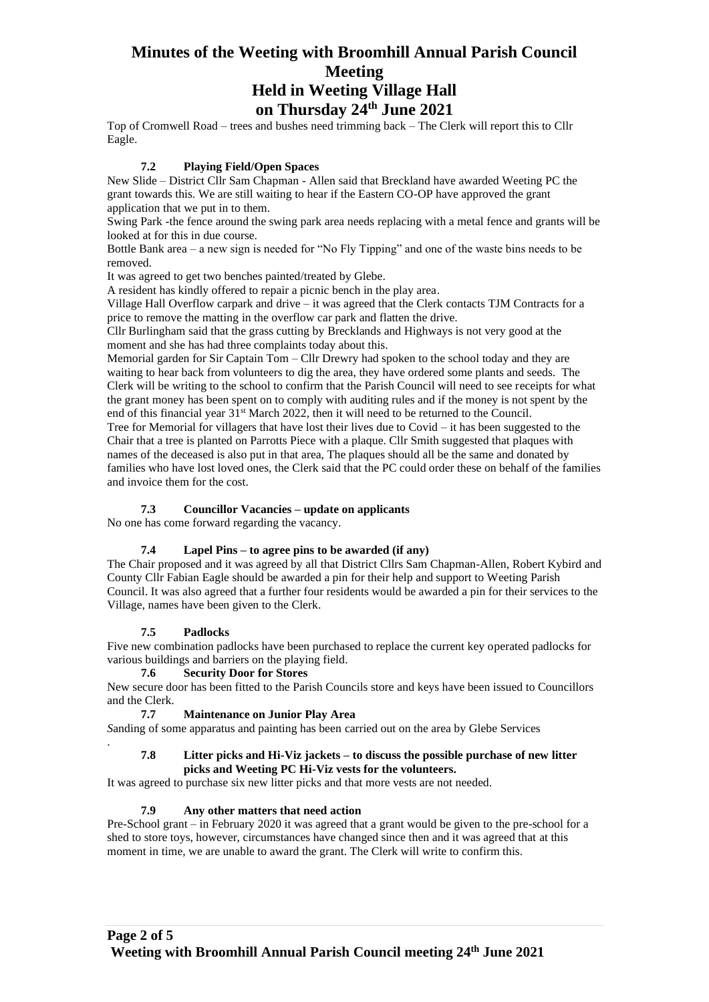Top of Cromwell Road – trees and bushes need trimming back – The Clerk will report this to Cllr Eagle.

## **7.2 Playing Field/Open Spaces**

New Slide – District Cllr Sam Chapman - Allen said that Breckland have awarded Weeting PC the grant towards this. We are still waiting to hear if the Eastern CO-OP have approved the grant application that we put in to them.

Swing Park -the fence around the swing park area needs replacing with a metal fence and grants will be looked at for this in due course.

Bottle Bank area – a new sign is needed for "No Fly Tipping" and one of the waste bins needs to be removed.

It was agreed to get two benches painted/treated by Glebe.

A resident has kindly offered to repair a picnic bench in the play area.

Village Hall Overflow carpark and drive – it was agreed that the Clerk contacts TJM Contracts for a price to remove the matting in the overflow car park and flatten the drive.

Cllr Burlingham said that the grass cutting by Brecklands and Highways is not very good at the moment and she has had three complaints today about this.

Memorial garden for Sir Captain Tom – Cllr Drewry had spoken to the school today and they are waiting to hear back from volunteers to dig the area, they have ordered some plants and seeds. The Clerk will be writing to the school to confirm that the Parish Council will need to see receipts for what the grant money has been spent on to comply with auditing rules and if the money is not spent by the end of this financial year  $31<sup>st</sup>$  March 2022, then it will need to be returned to the Council.

Tree for Memorial for villagers that have lost their lives due to Covid – it has been suggested to the Chair that a tree is planted on Parrotts Piece with a plaque. Cllr Smith suggested that plaques with names of the deceased is also put in that area, The plaques should all be the same and donated by families who have lost loved ones, the Clerk said that the PC could order these on behalf of the families and invoice them for the cost.

# **7.3 Councillor Vacancies – update on applicants**

No one has come forward regarding the vacancy.

# **7.4 Lapel Pins – to agree pins to be awarded (if any)**

The Chair proposed and it was agreed by all that District Cllrs Sam Chapman-Allen, Robert Kybird and County Cllr Fabian Eagle should be awarded a pin for their help and support to Weeting Parish Council. It was also agreed that a further four residents would be awarded a pin for their services to the Village, names have been given to the Clerk.

## **7.5 Padlocks**

.

Five new combination padlocks have been purchased to replace the current key operated padlocks for various buildings and barriers on the playing field.

## **7.6 Security Door for Stores**

New secure door has been fitted to the Parish Councils store and keys have been issued to Councillors and the Clerk.

# **7.7 Maintenance on Junior Play Area**

*S*anding of some apparatus and painting has been carried out on the area by Glebe Services

## **7.8 Litter picks and Hi-Viz jackets – to discuss the possible purchase of new litter picks and Weeting PC Hi-Viz vests for the volunteers.**

It was agreed to purchase six new litter picks and that more vests are not needed.

# **7.9 Any other matters that need action**

Pre-School grant – in February 2020 it was agreed that a grant would be given to the pre-school for a shed to store toys, however, circumstances have changed since then and it was agreed that at this moment in time, we are unable to award the grant. The Clerk will write to confirm this.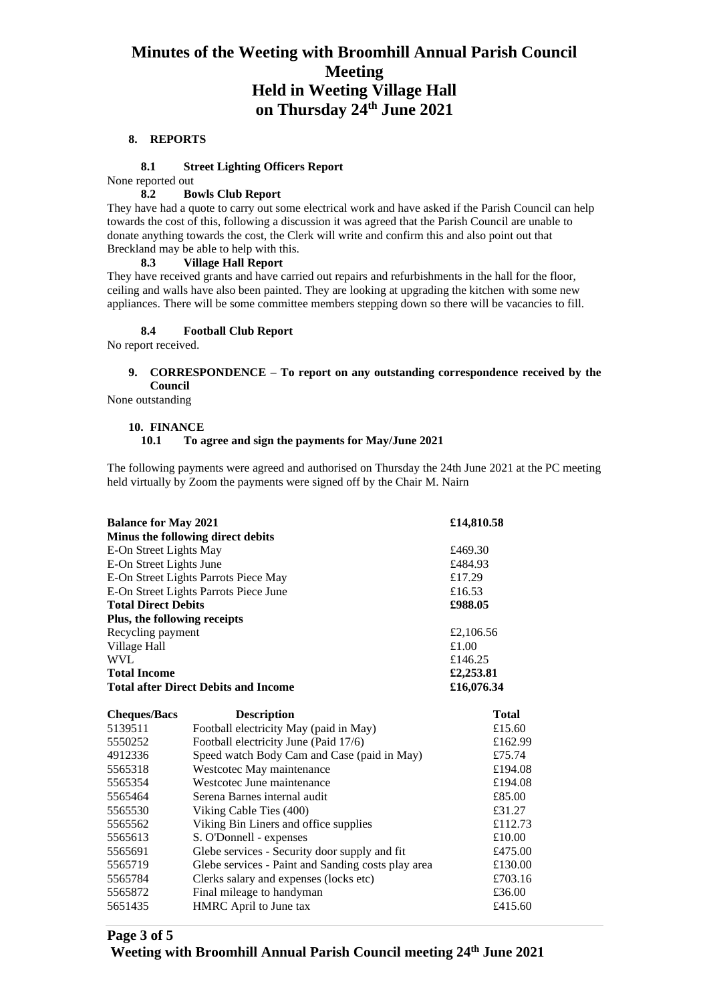#### **8. REPORTS**

#### **8.1 Street Lighting Officers Report**

None reported out

## **8.2 Bowls Club Report**

They have had a quote to carry out some electrical work and have asked if the Parish Council can help towards the cost of this, following a discussion it was agreed that the Parish Council are unable to donate anything towards the cost, the Clerk will write and confirm this and also point out that Breckland may be able to help with this.

# **8.3 Village Hall Report**

They have received grants and have carried out repairs and refurbishments in the hall for the floor, ceiling and walls have also been painted. They are looking at upgrading the kitchen with some new appliances. There will be some committee members stepping down so there will be vacancies to fill.

# **8.4 Football Club Report**

No report received.

## **9. CORRESPONDENCE – To report on any outstanding correspondence received by the Council**

None outstanding

#### **10. FINANCE**

**10.1 To agree and sign the payments for May/June 2021**

The following payments were agreed and authorised on Thursday the 24th June 2021 at the PC meeting held virtually by Zoom the payments were signed off by the Chair M. Nairn

| <b>Balance for May 2021</b>           | £14,810.58                                         |              |
|---------------------------------------|----------------------------------------------------|--------------|
|                                       | Minus the following direct debits                  |              |
| E-On Street Lights May                | £469.30                                            |              |
| E-On Street Lights June               | £484.93                                            |              |
| E-On Street Lights Parrots Piece May  | £17.29                                             |              |
| E-On Street Lights Parrots Piece June | £16.53                                             |              |
| <b>Total Direct Debits</b>            | £988.05                                            |              |
| Plus, the following receipts          |                                                    |              |
| Recycling payment                     | £2,106.56                                          |              |
| Village Hall                          | £1.00                                              |              |
| <b>WVL</b>                            | £146.25                                            |              |
| <b>Total Income</b>                   | £2,253.81                                          |              |
|                                       | <b>Total after Direct Debits and Income</b>        | £16,076.34   |
| <b>Cheques/Bacs</b>                   | <b>Description</b>                                 | <b>Total</b> |
| 5139511                               | Football electricity May (paid in May)             | £15.60       |
| 5550252                               | Football electricity June (Paid 17/6)              | £162.99      |
| 4912336                               | Speed watch Body Cam and Case (paid in May)        | £75.74       |
| 5565318                               | Westcotec May maintenance                          | £194.08      |
| 5565354                               | Westcotec June maintenance                         | £194.08      |
| 5565464                               | Serena Barnes internal audit                       | £85.00       |
| 5565530                               | Viking Cable Ties (400)                            | £31.27       |
| 5565562                               | Viking Bin Liners and office supplies              | £112.73      |
| 5565613                               | S. O'Donnell - expenses                            | £10.00       |
| 5565691                               | Glebe services - Security door supply and fit      | £475.00      |
| 5565719                               | Glebe services - Paint and Sanding costs play area | £130.00      |
| 5565784                               | Clerks salary and expenses (locks etc)             | £703.16      |
| 5565872                               | Final mileage to handyman                          | £36.00       |
| 5651435                               | HMRC April to June tax                             | £415.60      |
|                                       |                                                    |              |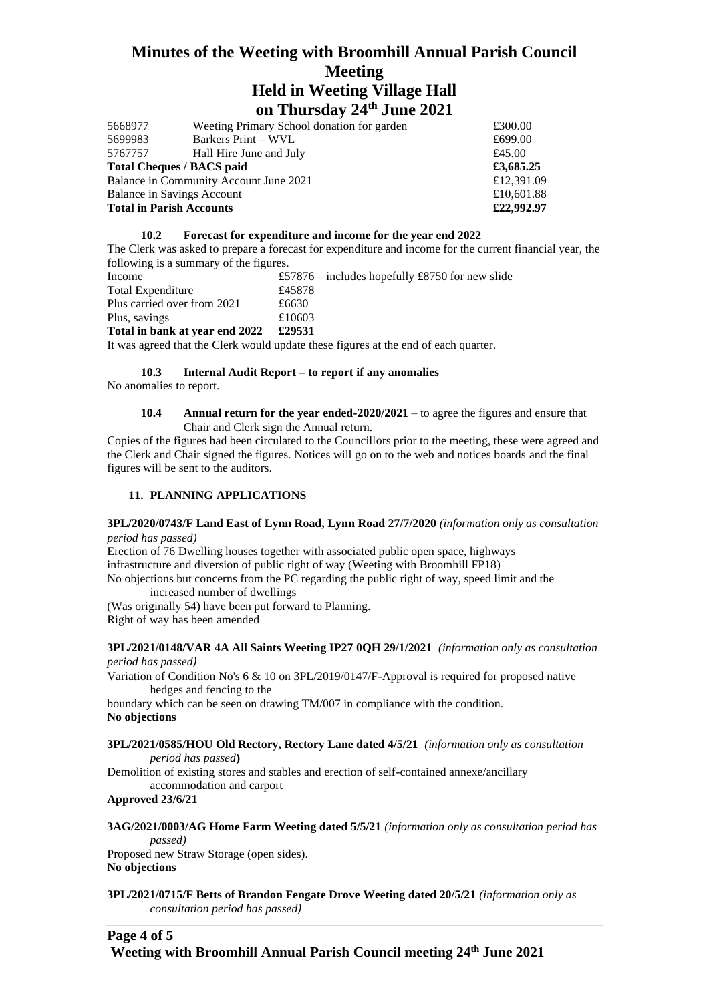| 5668977                                | Weeting Primary School donation for garden | £300.00    |
|----------------------------------------|--------------------------------------------|------------|
| 5699983                                | Barkers Print – WVL                        | £699.00    |
| 5767757                                | Hall Hire June and July                    | £45.00     |
| <b>Total Cheques / BACS paid</b>       |                                            | £3,685.25  |
| Balance in Community Account June 2021 |                                            | £12,391.09 |
| Balance in Savings Account             |                                            | £10,601.88 |
| <b>Total in Parish Accounts</b>        |                                            | £22,992.97 |
|                                        |                                            |            |

## **10.2 Forecast for expenditure and income for the year end 2022**

The Clerk was asked to prepare a forecast for expenditure and income for the current financial year, the following is a summary of the figures.

| Income                         |   | £57876 – includes hopefully £8750 for new slide |
|--------------------------------|---|-------------------------------------------------|
| Total Expenditure              |   | £45878                                          |
| Plus carried over from 2021    |   | £6630                                           |
| Plus, savings                  |   | £10603                                          |
| Total in bank at year end 2022 |   | £29531                                          |
|                                | . |                                                 |

It was agreed that the Clerk would update these figures at the end of each quarter.

# **10.3 Internal Audit Report – to report if any anomalies**

No anomalies to report.

#### **10.4 Annual return for the year ended-2020/2021** – to agree the figures and ensure that Chair and Clerk sign the Annual return.

Copies of the figures had been circulated to the Councillors prior to the meeting, these were agreed and the Clerk and Chair signed the figures. Notices will go on to the web and notices boards and the final figures will be sent to the auditors.

#### **11. PLANNING APPLICATIONS**

#### **3PL/2020/0743/F Land East of Lynn Road, Lynn Road 27/7/2020** *(information only as consultation period has passed)*

Erection of 76 Dwelling houses together with associated public open space, highways infrastructure and diversion of public right of way (Weeting with Broomhill FP18) No objections but concerns from the PC regarding the public right of way, speed limit and the increased number of dwellings

(Was originally 54) have been put forward to Planning. Right of way has been amended

#### **3PL/2021/0148/VAR 4A All Saints Weeting IP27 0QH 29/1/2021** *(information only as consultation period has passed)*

Variation of Condition No's 6 & 10 on 3PL/2019/0147/F-Approval is required for proposed native hedges and fencing to the

boundary which can be seen on drawing TM/007 in compliance with the condition. **No objections** 

#### **3PL/2021/0585/HOU Old Rectory, Rectory Lane dated 4/5/21** *(information only as consultation period has passed***)**

Demolition of existing stores and stables and erection of self-contained annexe/ancillary accommodation and carport

**Approved 23/6/21**

**3AG/2021/0003/AG Home Farm Weeting dated 5/5/21** *(information only as consultation period has passed)*

Proposed new Straw Storage (open sides). **No objections**

**3PL/2021/0715/F Betts of Brandon Fengate Drove Weeting dated 20/5/21** *(information only as consultation period has passed)*